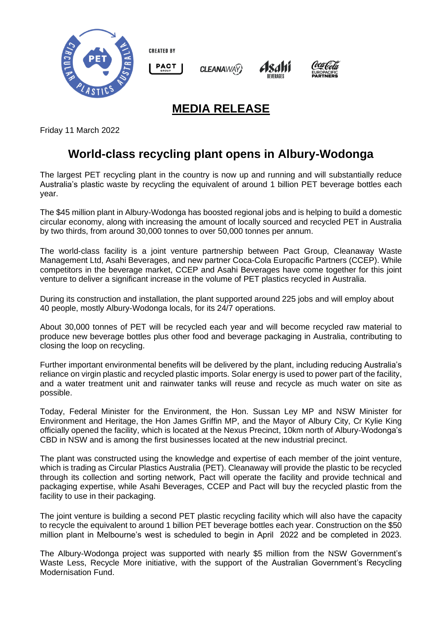

**CREATED BY** 







## **MEDIA RELEASE**

**CLEANAWAY** 

Friday 11 March 2022

## **World-class recycling plant opens in Albury-Wodonga**

The largest PET recycling plant in the country is now up and running and will substantially reduce Australia's plastic waste by recycling the equivalent of around 1 billion PET beverage bottles each year.

The \$45 million plant in Albury-Wodonga has boosted regional jobs and is helping to build a domestic circular economy, along with increasing the amount of locally sourced and recycled PET in Australia by two thirds, from around 30,000 tonnes to over 50,000 tonnes per annum.

The world-class facility is a joint venture partnership between Pact Group, Cleanaway Waste Management Ltd, Asahi Beverages, and new partner Coca-Cola Europacific Partners (CCEP). While competitors in the beverage market, CCEP and Asahi Beverages have come together for this joint venture to deliver a significant increase in the volume of PET plastics recycled in Australia.

During its construction and installation, the plant supported around 225 jobs and will employ about 40 people, mostly Albury-Wodonga locals, for its 24/7 operations.

About 30,000 tonnes of PET will be recycled each year and will become recycled raw material to produce new beverage bottles plus other food and beverage packaging in Australia, contributing to closing the loop on recycling.

Further important environmental benefits will be delivered by the plant, including reducing Australia's reliance on virgin plastic and recycled plastic imports. Solar energy is used to power part of the facility, and a water treatment unit and rainwater tanks will reuse and recycle as much water on site as possible.

Today, Federal Minister for the Environment, the Hon. Sussan Ley MP and NSW Minister for Environment and Heritage, the Hon James Griffin MP, and the Mayor of Albury City, Cr Kylie King officially opened the facility, which is located at the Nexus Precinct, 10km north of Albury-Wodonga's CBD in NSW and is among the first businesses located at the new industrial precinct.

The plant was constructed using the knowledge and expertise of each member of the joint venture, which is trading as Circular Plastics Australia (PET). Cleanaway will provide the plastic to be recycled through its collection and sorting network, Pact will operate the facility and provide technical and packaging expertise, while Asahi Beverages, CCEP and Pact will buy the recycled plastic from the facility to use in their packaging.

The joint venture is building a second PET plastic recycling facility which will also have the capacity to recycle the equivalent to around 1 billion PET beverage bottles each year. Construction on the \$50 million plant in Melbourne's west is scheduled to begin in April 2022 and be completed in 2023.

The Albury-Wodonga project was supported with nearly \$5 million from the NSW Government's Waste Less, Recycle More initiative, with the support of the Australian Government's Recycling Modernisation Fund.